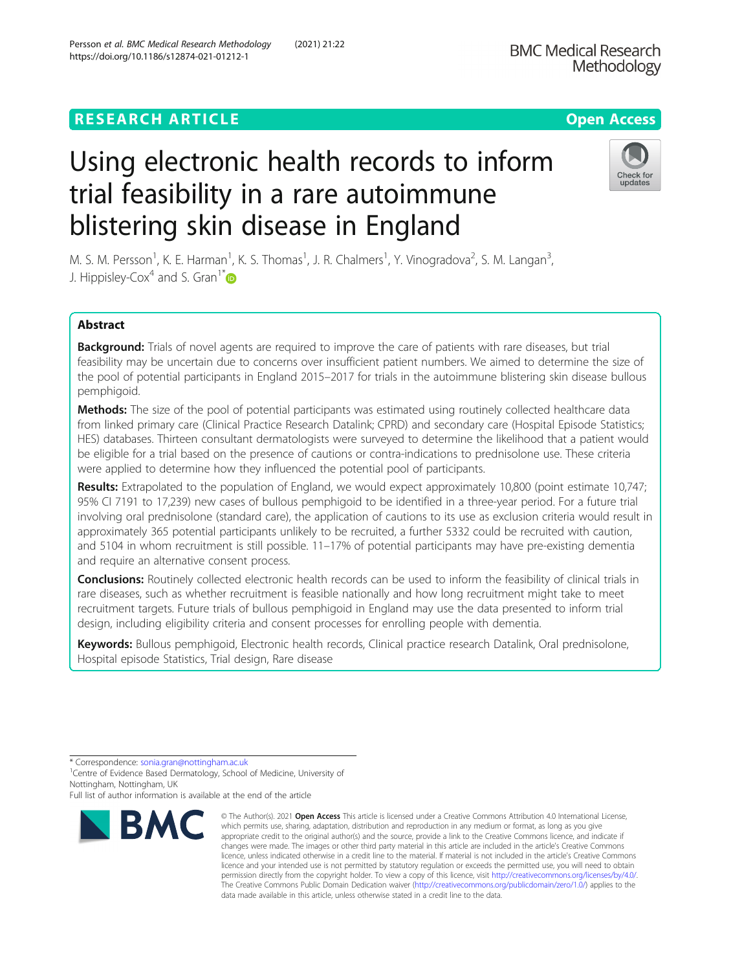## **RESEARCH ARTICLE Example 2014 12:30 The Contract of Contract ACCESS**

# Using electronic health records to inform trial feasibility in a rare autoimmune blistering skin disease in England

M. S. M. Persson<sup>1</sup>, K. E. Harman<sup>1</sup>, K. S. Thomas<sup>1</sup>, J. R. Chalmers<sup>1</sup>, Y. Vinogradova<sup>2</sup>, S. M. Langan<sup>3</sup> , J. Hippisley-Cox<sup>4</sup> and S. Gran<sup>1\*</sup>

## Abstract

Background: Trials of novel agents are required to improve the care of patients with rare diseases, but trial feasibility may be uncertain due to concerns over insufficient patient numbers. We aimed to determine the size of the pool of potential participants in England 2015–2017 for trials in the autoimmune blistering skin disease bullous pemphigoid.

**Methods:** The size of the pool of potential participants was estimated using routinely collected healthcare data from linked primary care (Clinical Practice Research Datalink; CPRD) and secondary care (Hospital Episode Statistics; HES) databases. Thirteen consultant dermatologists were surveyed to determine the likelihood that a patient would be eligible for a trial based on the presence of cautions or contra-indications to prednisolone use. These criteria were applied to determine how they influenced the potential pool of participants.

Results: Extrapolated to the population of England, we would expect approximately 10,800 (point estimate 10,747; 95% CI 7191 to 17,239) new cases of bullous pemphigoid to be identified in a three-year period. For a future trial involving oral prednisolone (standard care), the application of cautions to its use as exclusion criteria would result in approximately 365 potential participants unlikely to be recruited, a further 5332 could be recruited with caution, and 5104 in whom recruitment is still possible. 11–17% of potential participants may have pre-existing dementia and require an alternative consent process.

**Conclusions:** Routinely collected electronic health records can be used to inform the feasibility of clinical trials in rare diseases, such as whether recruitment is feasible nationally and how long recruitment might take to meet recruitment targets. Future trials of bullous pemphigoid in England may use the data presented to inform trial design, including eligibility criteria and consent processes for enrolling people with dementia.

Keywords: Bullous pemphigoid, Electronic health records, Clinical practice research Datalink, Oral prednisolone, Hospital episode Statistics, Trial design, Rare disease

**BMC** 



© The Author(s), 2021 **Open Access** This article is licensed under a Creative Commons Attribution 4.0 International License, which permits use, sharing, adaptation, distribution and reproduction in any medium or format, as long as you give



<sup>\*</sup> Correspondence: [sonia.gran@nottingham.ac.uk](mailto:sonia.gran@nottingham.ac.uk) <sup>1</sup>

<sup>&</sup>lt;sup>1</sup> Centre of Evidence Based Dermatology, School of Medicine, University of Nottingham, Nottingham, UK

Full list of author information is available at the end of the article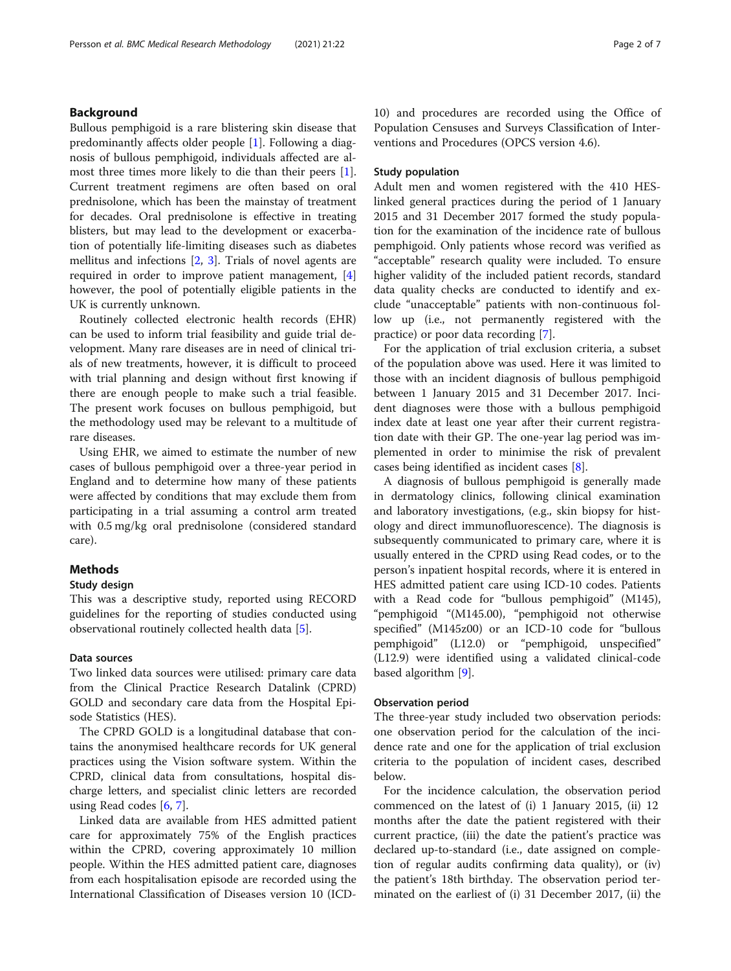## Background

Bullous pemphigoid is a rare blistering skin disease that predominantly affects older people [[1\]](#page-6-0). Following a diagnosis of bullous pemphigoid, individuals affected are almost three times more likely to die than their peers [\[1](#page-6-0)]. Current treatment regimens are often based on oral prednisolone, which has been the mainstay of treatment for decades. Oral prednisolone is effective in treating blisters, but may lead to the development or exacerbation of potentially life-limiting diseases such as diabetes mellitus and infections [[2](#page-6-0), [3](#page-6-0)]. Trials of novel agents are required in order to improve patient management, [\[4](#page-6-0)] however, the pool of potentially eligible patients in the UK is currently unknown.

Routinely collected electronic health records (EHR) can be used to inform trial feasibility and guide trial development. Many rare diseases are in need of clinical trials of new treatments, however, it is difficult to proceed with trial planning and design without first knowing if there are enough people to make such a trial feasible. The present work focuses on bullous pemphigoid, but the methodology used may be relevant to a multitude of rare diseases.

Using EHR, we aimed to estimate the number of new cases of bullous pemphigoid over a three-year period in England and to determine how many of these patients were affected by conditions that may exclude them from participating in a trial assuming a control arm treated with 0.5 mg/kg oral prednisolone (considered standard care).

## Methods

## Study design

This was a descriptive study, reported using RECORD guidelines for the reporting of studies conducted using observational routinely collected health data [[5\]](#page-6-0).

## Data sources

Two linked data sources were utilised: primary care data from the Clinical Practice Research Datalink (CPRD) GOLD and secondary care data from the Hospital Episode Statistics (HES).

The CPRD GOLD is a longitudinal database that contains the anonymised healthcare records for UK general practices using the Vision software system. Within the CPRD, clinical data from consultations, hospital discharge letters, and specialist clinic letters are recorded using Read codes [\[6](#page-6-0), [7](#page-6-0)].

Linked data are available from HES admitted patient care for approximately 75% of the English practices within the CPRD, covering approximately 10 million people. Within the HES admitted patient care, diagnoses from each hospitalisation episode are recorded using the International Classification of Diseases version 10 (ICD- 10) and procedures are recorded using the Office of Population Censuses and Surveys Classification of Interventions and Procedures (OPCS version 4.6).

## Study population

Adult men and women registered with the 410 HESlinked general practices during the period of 1 January 2015 and 31 December 2017 formed the study population for the examination of the incidence rate of bullous pemphigoid. Only patients whose record was verified as "acceptable" research quality were included. To ensure higher validity of the included patient records, standard data quality checks are conducted to identify and exclude "unacceptable" patients with non-continuous follow up (i.e., not permanently registered with the practice) or poor data recording [\[7](#page-6-0)].

For the application of trial exclusion criteria, a subset of the population above was used. Here it was limited to those with an incident diagnosis of bullous pemphigoid between 1 January 2015 and 31 December 2017. Incident diagnoses were those with a bullous pemphigoid index date at least one year after their current registration date with their GP. The one-year lag period was implemented in order to minimise the risk of prevalent cases being identified as incident cases [[8\]](#page-6-0).

A diagnosis of bullous pemphigoid is generally made in dermatology clinics, following clinical examination and laboratory investigations, (e.g., skin biopsy for histology and direct immunofluorescence). The diagnosis is subsequently communicated to primary care, where it is usually entered in the CPRD using Read codes, or to the person's inpatient hospital records, where it is entered in HES admitted patient care using ICD-10 codes. Patients with a Read code for "bullous pemphigoid" (M145), "pemphigoid "(M145.00), "pemphigoid not otherwise specified" (M145z00) or an ICD-10 code for "bullous pemphigoid" (L12.0) or "pemphigoid, unspecified" (L12.9) were identified using a validated clinical-code based algorithm [\[9](#page-6-0)].

#### Observation period

The three-year study included two observation periods: one observation period for the calculation of the incidence rate and one for the application of trial exclusion criteria to the population of incident cases, described below.

For the incidence calculation, the observation period commenced on the latest of (i) 1 January 2015, (ii) 12 months after the date the patient registered with their current practice, (iii) the date the patient's practice was declared up-to-standard (i.e., date assigned on completion of regular audits confirming data quality), or (iv) the patient's 18th birthday. The observation period terminated on the earliest of (i) 31 December 2017, (ii) the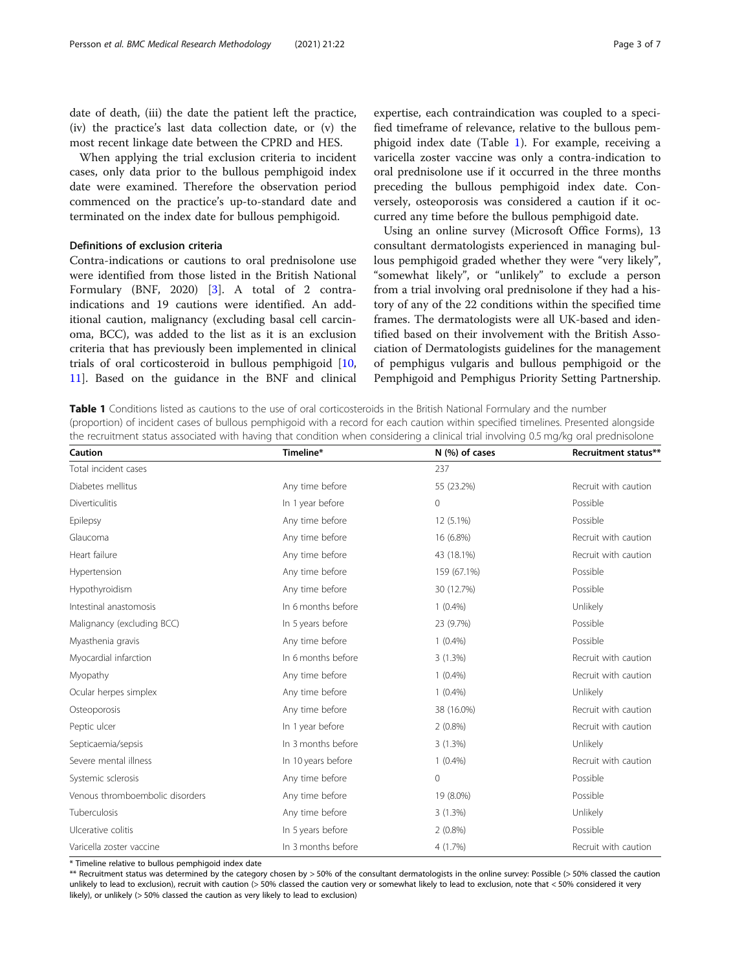<span id="page-2-0"></span>date of death, (iii) the date the patient left the practice, (iv) the practice's last data collection date, or (v) the most recent linkage date between the CPRD and HES.

When applying the trial exclusion criteria to incident cases, only data prior to the bullous pemphigoid index date were examined. Therefore the observation period commenced on the practice's up-to-standard date and terminated on the index date for bullous pemphigoid.

## Definitions of exclusion criteria

Contra-indications or cautions to oral prednisolone use were identified from those listed in the British National Formulary (BNF, 2020) [[3\]](#page-6-0). A total of 2 contraindications and 19 cautions were identified. An additional caution, malignancy (excluding basal cell carcinoma, BCC), was added to the list as it is an exclusion criteria that has previously been implemented in clinical trials of oral corticosteroid in bullous pemphigoid [[10](#page-6-0), [11\]](#page-6-0). Based on the guidance in the BNF and clinical expertise, each contraindication was coupled to a specified timeframe of relevance, relative to the bullous pemphigoid index date (Table 1). For example, receiving a varicella zoster vaccine was only a contra-indication to oral prednisolone use if it occurred in the three months preceding the bullous pemphigoid index date. Conversely, osteoporosis was considered a caution if it occurred any time before the bullous pemphigoid date.

Using an online survey (Microsoft Office Forms), 13 consultant dermatologists experienced in managing bullous pemphigoid graded whether they were "very likely", "somewhat likely", or "unlikely" to exclude a person from a trial involving oral prednisolone if they had a history of any of the 22 conditions within the specified time frames. The dermatologists were all UK-based and identified based on their involvement with the British Association of Dermatologists guidelines for the management of pemphigus vulgaris and bullous pemphigoid or the Pemphigoid and Pemphigus Priority Setting Partnership.

Table 1 Conditions listed as cautions to the use of oral corticosteroids in the British National Formulary and the number (proportion) of incident cases of bullous pemphigoid with a record for each caution within specified timelines. Presented alongside the recruitment status associated with having that condition when considering a clinical trial involving 0.5 mg/kg oral prednisolone

| Caution                         | Timeline*          | N (%) of cases | Recruitment status** |  |
|---------------------------------|--------------------|----------------|----------------------|--|
| Total incident cases            |                    | 237            |                      |  |
| Diabetes mellitus               | Any time before    | 55 (23.2%)     | Recruit with caution |  |
| <b>Diverticulitis</b>           | In 1 year before   | 0              | Possible             |  |
| Epilepsy                        | Any time before    | 12 (5.1%)      | Possible             |  |
| Glaucoma                        | Any time before    | 16 (6.8%)      |                      |  |
| Heart failure                   | Any time before    | 43 (18.1%)     | Recruit with caution |  |
| Hypertension                    | Any time before    | 159 (67.1%)    | Possible             |  |
| Hypothyroidism                  | Any time before    | 30 (12.7%)     | Possible             |  |
| Intestinal anastomosis          | In 6 months before | $1(0.4\%)$     | Unlikely             |  |
| Malignancy (excluding BCC)      | In 5 years before  | 23 (9.7%)      | Possible             |  |
| Myasthenia gravis               | Any time before    | $1(0.4\%)$     | Possible             |  |
| Myocardial infarction           | In 6 months before | 3(1.3%)        | Recruit with caution |  |
| Myopathy                        | Any time before    | $1(0.4\%)$     | Recruit with caution |  |
| Ocular herpes simplex           | Any time before    | $1(0.4\%)$     | Unlikely             |  |
| Osteoporosis                    | Any time before    | 38 (16.0%)     | Recruit with caution |  |
| Peptic ulcer                    | In 1 year before   | $2(0.8\%)$     |                      |  |
| Septicaemia/sepsis              | In 3 months before | 3(1.3%)        | Unlikely             |  |
| Severe mental illness           | In 10 years before | $1(0.4\%)$     | Recruit with caution |  |
| Systemic sclerosis              | Any time before    | 0              | Possible             |  |
| Venous thromboembolic disorders | Any time before    | 19 (8.0%)      | Possible             |  |
| Tuberculosis                    | Any time before    | 3(1.3%)        | Unlikely             |  |
| Ulcerative colitis              | In 5 years before  | $2(0.8\%)$     | Possible             |  |
| Varicella zoster vaccine        | In 3 months before | 4(1.7%)        | Recruit with caution |  |

\* Timeline relative to bullous pemphigoid index date

\*\* Recruitment status was determined by the category chosen by > 50% of the consultant dermatologists in the online survey: Possible (> 50% classed the caution unlikely to lead to exclusion), recruit with caution (> 50% classed the caution very or somewhat likely to lead to exclusion, note that < 50% considered it very likely), or unlikely (> 50% classed the caution as very likely to lead to exclusion)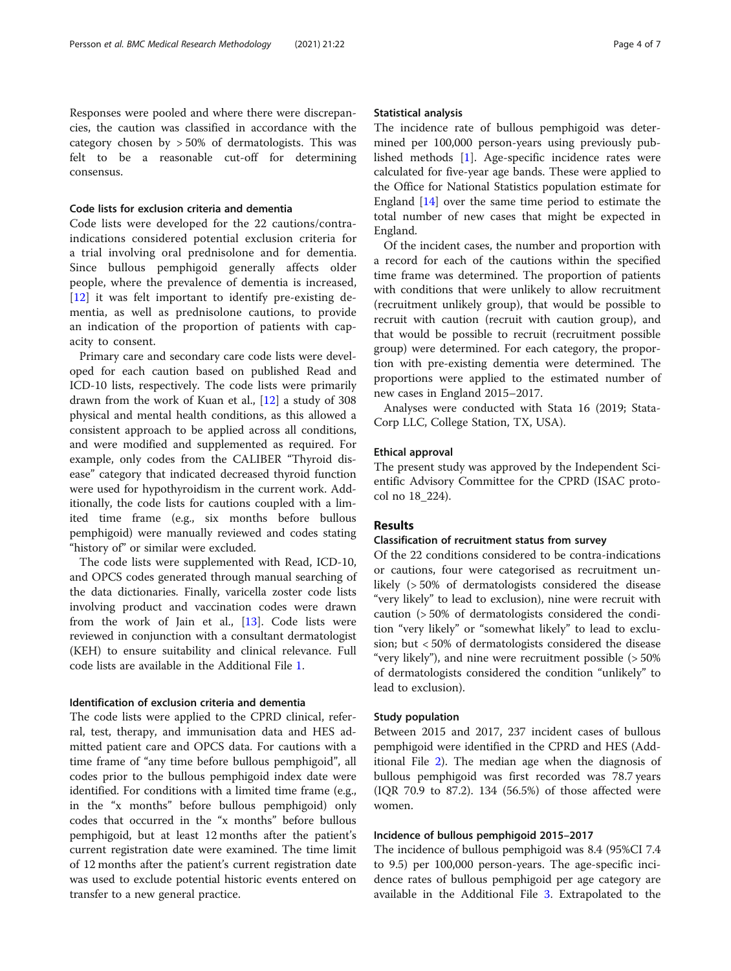Responses were pooled and where there were discrepancies, the caution was classified in accordance with the category chosen by > 50% of dermatologists. This was felt to be a reasonable cut-off for determining consensus.

## Code lists for exclusion criteria and dementia

Code lists were developed for the 22 cautions/contraindications considered potential exclusion criteria for a trial involving oral prednisolone and for dementia. Since bullous pemphigoid generally affects older people, where the prevalence of dementia is increased, [[12\]](#page-6-0) it was felt important to identify pre-existing dementia, as well as prednisolone cautions, to provide an indication of the proportion of patients with capacity to consent.

Primary care and secondary care code lists were developed for each caution based on published Read and ICD-10 lists, respectively. The code lists were primarily drawn from the work of Kuan et al., [[12\]](#page-6-0) a study of 308 physical and mental health conditions, as this allowed a consistent approach to be applied across all conditions, and were modified and supplemented as required. For example, only codes from the CALIBER "Thyroid disease" category that indicated decreased thyroid function were used for hypothyroidism in the current work. Additionally, the code lists for cautions coupled with a limited time frame (e.g., six months before bullous pemphigoid) were manually reviewed and codes stating "history of" or similar were excluded.

The code lists were supplemented with Read, ICD-10, and OPCS codes generated through manual searching of the data dictionaries. Finally, varicella zoster code lists involving product and vaccination codes were drawn from the work of Jain et al., [[13\]](#page-6-0). Code lists were reviewed in conjunction with a consultant dermatologist (KEH) to ensure suitability and clinical relevance. Full code lists are available in the Additional File [1](#page-5-0).

## Identification of exclusion criteria and dementia

The code lists were applied to the CPRD clinical, referral, test, therapy, and immunisation data and HES admitted patient care and OPCS data. For cautions with a time frame of "any time before bullous pemphigoid", all codes prior to the bullous pemphigoid index date were identified. For conditions with a limited time frame (e.g., in the "x months" before bullous pemphigoid) only codes that occurred in the "x months" before bullous pemphigoid, but at least 12 months after the patient's current registration date were examined. The time limit of 12 months after the patient's current registration date was used to exclude potential historic events entered on transfer to a new general practice.

#### Statistical analysis

The incidence rate of bullous pemphigoid was determined per 100,000 person-years using previously published methods [\[1](#page-6-0)]. Age-specific incidence rates were calculated for five-year age bands. These were applied to the Office for National Statistics population estimate for England [[14\]](#page-6-0) over the same time period to estimate the total number of new cases that might be expected in England.

Of the incident cases, the number and proportion with a record for each of the cautions within the specified time frame was determined. The proportion of patients with conditions that were unlikely to allow recruitment (recruitment unlikely group), that would be possible to recruit with caution (recruit with caution group), and that would be possible to recruit (recruitment possible group) were determined. For each category, the proportion with pre-existing dementia were determined. The proportions were applied to the estimated number of new cases in England 2015–2017.

Analyses were conducted with Stata 16 (2019; Stata-Corp LLC, College Station, TX, USA).

#### Ethical approval

The present study was approved by the Independent Scientific Advisory Committee for the CPRD (ISAC protocol no 18\_224).

## Results

#### Classification of recruitment status from survey

Of the 22 conditions considered to be contra-indications or cautions, four were categorised as recruitment unlikely (> 50% of dermatologists considered the disease "very likely" to lead to exclusion), nine were recruit with caution (> 50% of dermatologists considered the condition "very likely" or "somewhat likely" to lead to exclusion; but < 50% of dermatologists considered the disease "very likely"), and nine were recruitment possible (> 50% of dermatologists considered the condition "unlikely" to lead to exclusion).

## Study population

Between 2015 and 2017, 237 incident cases of bullous pemphigoid were identified in the CPRD and HES (Additional File [2\)](#page-5-0). The median age when the diagnosis of bullous pemphigoid was first recorded was 78.7 years (IQR 70.9 to 87.2). 134 (56.5%) of those affected were women.

## Incidence of bullous pemphigoid 2015–2017

The incidence of bullous pemphigoid was 8.4 (95%CI 7.4 to 9.5) per 100,000 person-years. The age-specific incidence rates of bullous pemphigoid per age category are available in the Additional File [3](#page-5-0). Extrapolated to the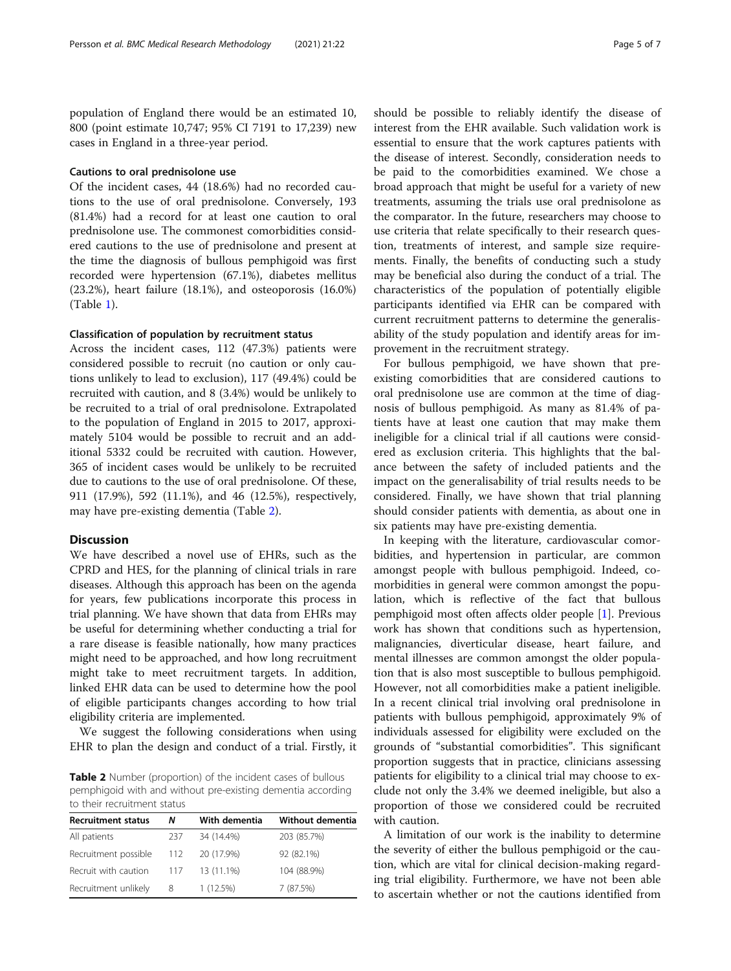population of England there would be an estimated 10, 800 (point estimate 10,747; 95% CI 7191 to 17,239) new cases in England in a three-year period.

## Cautions to oral prednisolone use

Of the incident cases, 44 (18.6%) had no recorded cautions to the use of oral prednisolone. Conversely, 193 (81.4%) had a record for at least one caution to oral prednisolone use. The commonest comorbidities considered cautions to the use of prednisolone and present at the time the diagnosis of bullous pemphigoid was first recorded were hypertension (67.1%), diabetes mellitus (23.2%), heart failure (18.1%), and osteoporosis (16.0%) (Table [1\)](#page-2-0).

### Classification of population by recruitment status

Across the incident cases, 112 (47.3%) patients were considered possible to recruit (no caution or only cautions unlikely to lead to exclusion), 117 (49.4%) could be recruited with caution, and 8 (3.4%) would be unlikely to be recruited to a trial of oral prednisolone. Extrapolated to the population of England in 2015 to 2017, approximately 5104 would be possible to recruit and an additional 5332 could be recruited with caution. However, 365 of incident cases would be unlikely to be recruited due to cautions to the use of oral prednisolone. Of these, 911 (17.9%), 592 (11.1%), and 46 (12.5%), respectively, may have pre-existing dementia (Table 2).

#### **Discussion**

We have described a novel use of EHRs, such as the CPRD and HES, for the planning of clinical trials in rare diseases. Although this approach has been on the agenda for years, few publications incorporate this process in trial planning. We have shown that data from EHRs may be useful for determining whether conducting a trial for a rare disease is feasible nationally, how many practices might need to be approached, and how long recruitment might take to meet recruitment targets. In addition, linked EHR data can be used to determine how the pool of eligible participants changes according to how trial eligibility criteria are implemented.

We suggest the following considerations when using EHR to plan the design and conduct of a trial. Firstly, it

Table 2 Number (proportion) of the incident cases of bullous pemphigoid with and without pre-existing dementia according to their recruitment status

| <b>Recruitment status</b> | Ν   | With dementia | Without dementia |
|---------------------------|-----|---------------|------------------|
| All patients              | 237 | 34 (14.4%)    | 203 (85.7%)      |
| Recruitment possible      | 112 | 20 (17.9%)    | 92 (82.1%)       |
| Recruit with caution      | 117 | 13 (11.1%)    | 104 (88.9%)      |
| Recruitment unlikely      | 8   | 1(12.5%)      | 7 (87.5%)        |

should be possible to reliably identify the disease of interest from the EHR available. Such validation work is essential to ensure that the work captures patients with the disease of interest. Secondly, consideration needs to be paid to the comorbidities examined. We chose a broad approach that might be useful for a variety of new treatments, assuming the trials use oral prednisolone as the comparator. In the future, researchers may choose to use criteria that relate specifically to their research question, treatments of interest, and sample size requirements. Finally, the benefits of conducting such a study may be beneficial also during the conduct of a trial. The characteristics of the population of potentially eligible participants identified via EHR can be compared with current recruitment patterns to determine the generalisability of the study population and identify areas for improvement in the recruitment strategy.

For bullous pemphigoid, we have shown that preexisting comorbidities that are considered cautions to oral prednisolone use are common at the time of diagnosis of bullous pemphigoid. As many as 81.4% of patients have at least one caution that may make them ineligible for a clinical trial if all cautions were considered as exclusion criteria. This highlights that the balance between the safety of included patients and the impact on the generalisability of trial results needs to be considered. Finally, we have shown that trial planning should consider patients with dementia, as about one in six patients may have pre-existing dementia.

In keeping with the literature, cardiovascular comorbidities, and hypertension in particular, are common amongst people with bullous pemphigoid. Indeed, comorbidities in general were common amongst the population, which is reflective of the fact that bullous pemphigoid most often affects older people [\[1](#page-6-0)]. Previous work has shown that conditions such as hypertension, malignancies, diverticular disease, heart failure, and mental illnesses are common amongst the older population that is also most susceptible to bullous pemphigoid. However, not all comorbidities make a patient ineligible. In a recent clinical trial involving oral prednisolone in patients with bullous pemphigoid, approximately 9% of individuals assessed for eligibility were excluded on the grounds of "substantial comorbidities". This significant proportion suggests that in practice, clinicians assessing patients for eligibility to a clinical trial may choose to exclude not only the 3.4% we deemed ineligible, but also a proportion of those we considered could be recruited with caution.

A limitation of our work is the inability to determine the severity of either the bullous pemphigoid or the caution, which are vital for clinical decision-making regarding trial eligibility. Furthermore, we have not been able to ascertain whether or not the cautions identified from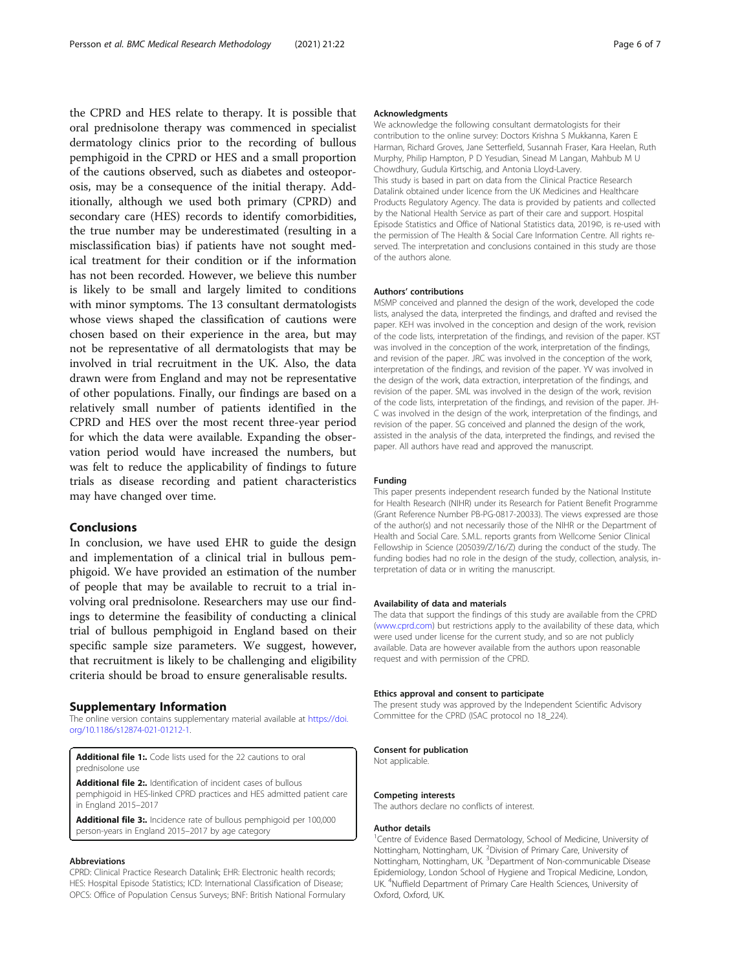<span id="page-5-0"></span>the CPRD and HES relate to therapy. It is possible that oral prednisolone therapy was commenced in specialist dermatology clinics prior to the recording of bullous pemphigoid in the CPRD or HES and a small proportion of the cautions observed, such as diabetes and osteoporosis, may be a consequence of the initial therapy. Additionally, although we used both primary (CPRD) and secondary care (HES) records to identify comorbidities, the true number may be underestimated (resulting in a misclassification bias) if patients have not sought medical treatment for their condition or if the information has not been recorded. However, we believe this number is likely to be small and largely limited to conditions with minor symptoms. The 13 consultant dermatologists whose views shaped the classification of cautions were chosen based on their experience in the area, but may not be representative of all dermatologists that may be involved in trial recruitment in the UK. Also, the data drawn were from England and may not be representative of other populations. Finally, our findings are based on a relatively small number of patients identified in the CPRD and HES over the most recent three-year period for which the data were available. Expanding the observation period would have increased the numbers, but was felt to reduce the applicability of findings to future trials as disease recording and patient characteristics may have changed over time.

## Conclusions

In conclusion, we have used EHR to guide the design and implementation of a clinical trial in bullous pemphigoid. We have provided an estimation of the number of people that may be available to recruit to a trial involving oral prednisolone. Researchers may use our findings to determine the feasibility of conducting a clinical trial of bullous pemphigoid in England based on their specific sample size parameters. We suggest, however, that recruitment is likely to be challenging and eligibility criteria should be broad to ensure generalisable results.

#### Supplementary Information

The online version contains supplementary material available at [https://doi.](https://doi.org/10.1186/s12874-021-01212-1) [org/10.1186/s12874-021-01212-1.](https://doi.org/10.1186/s12874-021-01212-1)

Additional file 1: Code lists used for the 22 cautions to oral prednisolone use

Additional file 2:. Identification of incident cases of bullous pemphigoid in HES-linked CPRD practices and HES admitted patient care in England 2015–2017

Additional file 3:. Incidence rate of bullous pemphigoid per 100,000 person-years in England 2015–2017 by age category

#### Abbreviations

CPRD: Clinical Practice Research Datalink; EHR: Electronic health records; HES: Hospital Episode Statistics; ICD: International Classification of Disease; OPCS: Office of Population Census Surveys; BNF: British National Formulary

#### Acknowledgments

We acknowledge the following consultant dermatologists for their contribution to the online survey: Doctors Krishna S Mukkanna, Karen E Harman, Richard Groves, Jane Setterfield, Susannah Fraser, Kara Heelan, Ruth Murphy, Philip Hampton, P D Yesudian, Sinead M Langan, Mahbub M U Chowdhury, Gudula Kirtschig, and Antonia Lloyd-Lavery. This study is based in part on data from the Clinical Practice Research Datalink obtained under licence from the UK Medicines and Healthcare Products Regulatory Agency. The data is provided by patients and collected by the National Health Service as part of their care and support. Hospital Episode Statistics and Office of National Statistics data, 2019©, is re-used with the permission of The Health & Social Care Information Centre. All rights reserved. The interpretation and conclusions contained in this study are those of the authors alone.

#### Authors' contributions

MSMP conceived and planned the design of the work, developed the code lists, analysed the data, interpreted the findings, and drafted and revised the paper. KEH was involved in the conception and design of the work, revision of the code lists, interpretation of the findings, and revision of the paper. KST was involved in the conception of the work, interpretation of the findings, and revision of the paper. JRC was involved in the conception of the work, interpretation of the findings, and revision of the paper. YV was involved in the design of the work, data extraction, interpretation of the findings, and revision of the paper. SML was involved in the design of the work, revision of the code lists, interpretation of the findings, and revision of the paper. JH-C was involved in the design of the work, interpretation of the findings, and revision of the paper. SG conceived and planned the design of the work, assisted in the analysis of the data, interpreted the findings, and revised the paper. All authors have read and approved the manuscript.

#### Funding

This paper presents independent research funded by the National Institute for Health Research (NIHR) under its Research for Patient Benefit Programme (Grant Reference Number PB-PG-0817-20033). The views expressed are those of the author(s) and not necessarily those of the NIHR or the Department of Health and Social Care. S.M.L. reports grants from Wellcome Senior Clinical Fellowship in Science (205039/Z/16/Z) during the conduct of the study. The funding bodies had no role in the design of the study, collection, analysis, interpretation of data or in writing the manuscript.

#### Availability of data and materials

The data that support the findings of this study are available from the CPRD ([www.cprd.com](http://www.cprd.com)) but restrictions apply to the availability of these data, which were used under license for the current study, and so are not publicly available. Data are however available from the authors upon reasonable request and with permission of the CPRD.

#### Ethics approval and consent to participate

The present study was approved by the Independent Scientific Advisory Committee for the CPRD (ISAC protocol no 18\_224).

#### Consent for publication

Not applicable.

#### Competing interests

The authors declare no conflicts of interest.

#### Author details

<sup>1</sup> Centre of Evidence Based Dermatology, School of Medicine, University of Nottingham, Nottingham, UK. <sup>2</sup> Division of Primary Care, University of Nottingham, Nottingham, UK.<sup>3</sup>Department of Non-communicable Disease Epidemiology, London School of Hygiene and Tropical Medicine, London, UK. <sup>4</sup>Nuffield Department of Primary Care Health Sciences, University of Oxford, Oxford, UK.